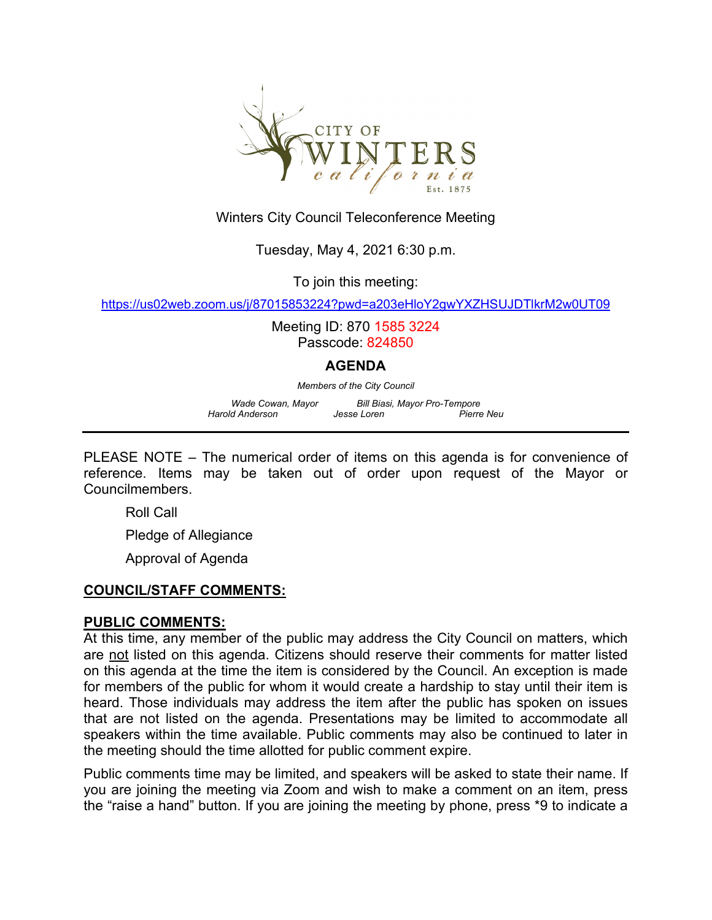

## Winters City Council Teleconference Meeting

## Tuesday, May 4, 2021 6:30 p.m.

To join this meeting:

<https://us02web.zoom.us/j/87015853224?pwd=a203eHloY2gwYXZHSUJDTlkrM2w0UT09>

Meeting ID: 870 1585 3224 Passcode: 824850

#### **AGENDA**

*Members of the City Council*

*Wade Cowan, Mayor Bill Biasi, Mayor Pro-Tempore Harold Anderson* 

PLEASE NOTE – The numerical order of items on this agenda is for convenience of reference. Items may be taken out of order upon request of the Mayor or Councilmembers.

Roll Call

Pledge of Allegiance

Approval of Agenda

## **COUNCIL/STAFF COMMENTS:**

#### **PUBLIC COMMENTS:**

At this time, any member of the public may address the City Council on matters, which are not listed on this agenda. Citizens should reserve their comments for matter listed on this agenda at the time the item is considered by the Council. An exception is made for members of the public for whom it would create a hardship to stay until their item is heard. Those individuals may address the item after the public has spoken on issues that are not listed on the agenda. Presentations may be limited to accommodate all speakers within the time available. Public comments may also be continued to later in the meeting should the time allotted for public comment expire.

Public comments time may be limited, and speakers will be asked to state their name. If you are joining the meeting via Zoom and wish to make a comment on an item, press the "raise a hand" button. If you are joining the meeting by phone, press \*9 to indicate a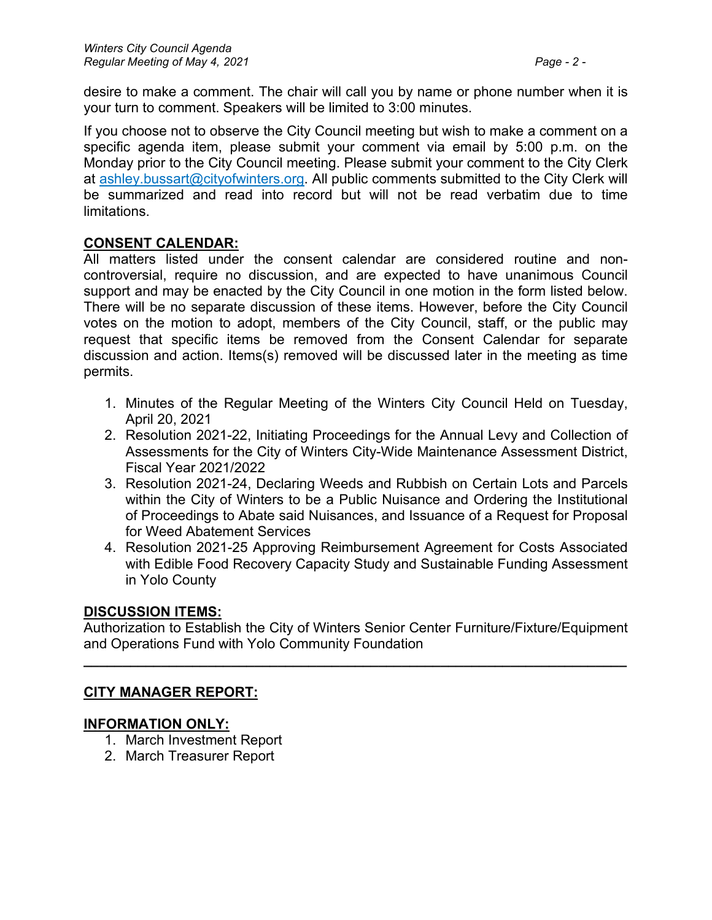desire to make a comment. The chair will call you by name or phone number when it is your turn to comment. Speakers will be limited to 3:00 minutes.

If you choose not to observe the City Council meeting but wish to make a comment on a specific agenda item, please submit your comment via email by 5:00 p.m. on the Monday prior to the City Council meeting. Please submit your comment to the City Clerk at ashley.bussart@cityofwinters.org. All public comments submitted to the City Clerk will be summarized and read into record but will not be read verbatim due to time limitations.

## **CONSENT CALENDAR:**

All matters listed under the consent calendar are considered routine and noncontroversial, require no discussion, and are expected to have unanimous Council support and may be enacted by the City Council in one motion in the form listed below. There will be no separate discussion of these items. However, before the City Council votes on the motion to adopt, members of the City Council, staff, or the public may request that specific items be removed from the Consent Calendar for separate discussion and action. Items(s) removed will be discussed later in the meeting as time permits.

- 1. Minutes of the Regular Meeting of the Winters City Council Held on Tuesday, April 20, 2021
- 2. Resolution 2021-22, Initiating Proceedings for the Annual Levy and Collection of Assessments for the City of Winters City-Wide Maintenance Assessment District, Fiscal Year 2021/2022
- 3. Resolution 2021-24, Declaring Weeds and Rubbish on Certain Lots and Parcels within the City of Winters to be a Public Nuisance and Ordering the Institutional of Proceedings to Abate said Nuisances, and Issuance of a Request for Proposal for Weed Abatement Services
- 4. Resolution 2021-25 Approving Reimbursement Agreement for Costs Associated with Edible Food Recovery Capacity Study and Sustainable Funding Assessment in Yolo County

## **DISCUSSION ITEMS:**

Authorization to Establish the City of Winters Senior Center Furniture/Fixture/Equipment and Operations Fund with Yolo Community Foundation

**\_\_\_\_\_\_\_\_\_\_\_\_\_\_\_\_\_\_\_\_\_\_\_\_\_\_\_\_\_\_\_\_\_\_\_\_\_\_\_\_\_\_\_\_\_\_\_\_\_\_\_\_\_\_\_\_\_\_\_\_\_\_\_\_\_\_\_\_\_\_**

# **CITY MANAGER REPORT:**

## **INFORMATION ONLY:**

- 1. March Investment Report
- 2. March Treasurer Report